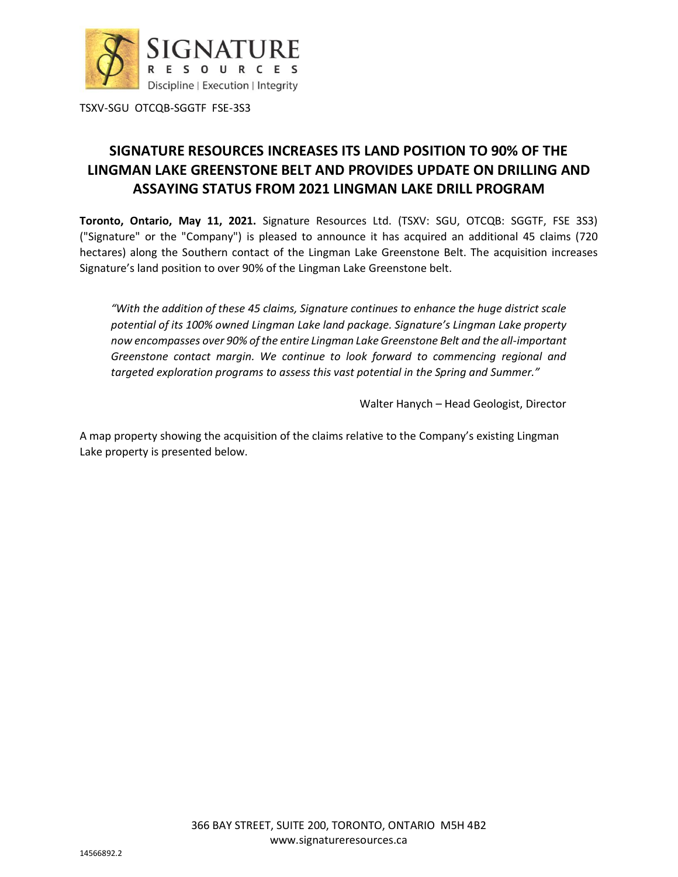

# **SIGNATURE RESOURCES INCREASES ITS LAND POSITION TO 90% OF THE LINGMAN LAKE GREENSTONE BELT AND PROVIDES UPDATE ON DRILLING AND ASSAYING STATUS FROM 2021 LINGMAN LAKE DRILL PROGRAM**

**Toronto, Ontario, May 11, 2021.** Signature Resources Ltd. (TSXV: SGU, OTCQB: SGGTF, FSE 3S3) ("Signature" or the "Company") is pleased to announce it has acquired an additional 45 claims (720 hectares) along the Southern contact of the Lingman Lake Greenstone Belt. The acquisition increases Signature's land position to over 90% of the Lingman Lake Greenstone belt.

*"With the addition of these 45 claims, Signature continues to enhance the huge district scale potential of its 100% owned Lingman Lake land package. Signature's Lingman Lake property now encompasses over 90% of the entire Lingman Lake Greenstone Belt and the all-important Greenstone contact margin. We continue to look forward to commencing regional and targeted exploration programs to assess this vast potential in the Spring and Summer."*

Walter Hanych – Head Geologist, Director

A map property showing the acquisition of the claims relative to the Company's existing Lingman Lake property is presented below.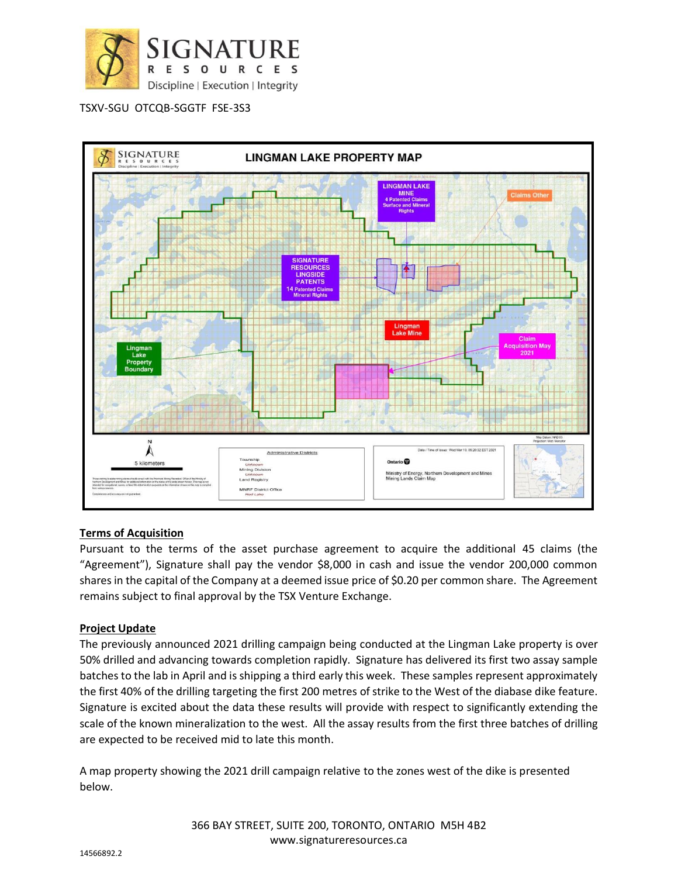



# **Terms of Acquisition**

Pursuant to the terms of the asset purchase agreement to acquire the additional 45 claims (the "Agreement"), Signature shall pay the vendor \$8,000 in cash and issue the vendor 200,000 common shares in the capital of the Company at a deemed issue price of \$0.20 per common share. The Agreement remains subject to final approval by the TSX Venture Exchange.

# **Project Update**

The previously announced 2021 drilling campaign being conducted at the Lingman Lake property is over 50% drilled and advancing towards completion rapidly. Signature has delivered its first two assay sample batches to the lab in April and is shipping a third early this week. These samples represent approximately the first 40% of the drilling targeting the first 200 metres of strike to the West of the diabase dike feature. Signature is excited about the data these results will provide with respect to significantly extending the scale of the known mineralization to the west. All the assay results from the first three batches of drilling are expected to be received mid to late this month.

A map property showing the 2021 drill campaign relative to the zones west of the dike is presented below.

> 366 BAY STREET, SUITE 200, TORONTO, ONTARIO M5H 4B2 www.signatureresources.ca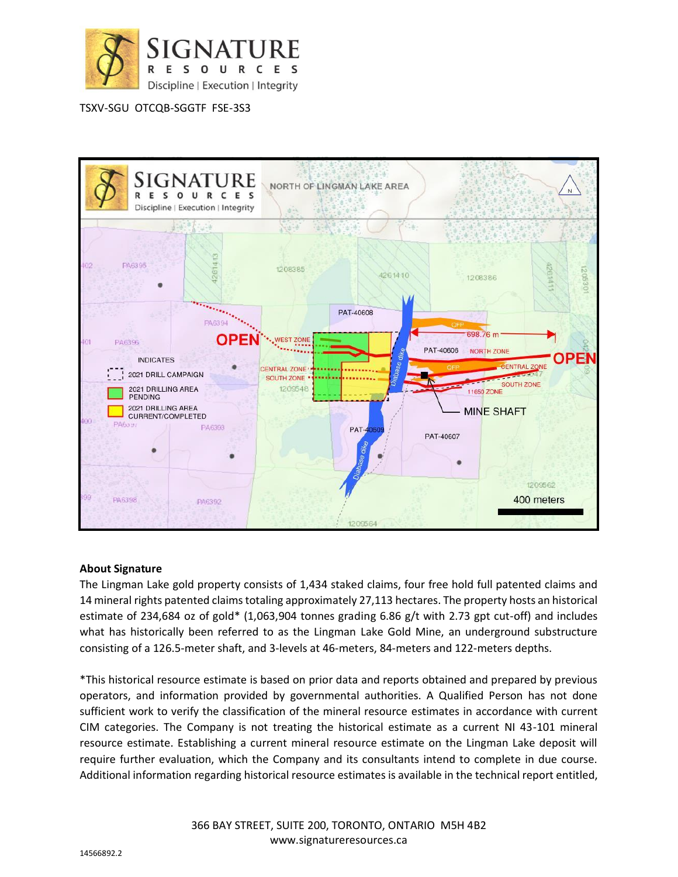



## **About Signature**

The Lingman Lake gold property consists of 1,434 staked claims, four free hold full patented claims and 14 mineral rights patented claims totaling approximately 27,113 hectares. The property hosts an historical estimate of 234,684 oz of gold\* (1,063,904 tonnes grading 6.86 g/t with 2.73 gpt cut-off) and includes what has historically been referred to as the Lingman Lake Gold Mine, an underground substructure consisting of a 126.5-meter shaft, and 3-levels at 46-meters, 84-meters and 122-meters depths.

\*This historical resource estimate is based on prior data and reports obtained and prepared by previous operators, and information provided by governmental authorities. A Qualified Person has not done sufficient work to verify the classification of the mineral resource estimates in accordance with current CIM categories. The Company is not treating the historical estimate as a current NI 43-101 mineral resource estimate. Establishing a current mineral resource estimate on the Lingman Lake deposit will require further evaluation, which the Company and its consultants intend to complete in due course. Additional information regarding historical resource estimates is available in the technical report entitled,